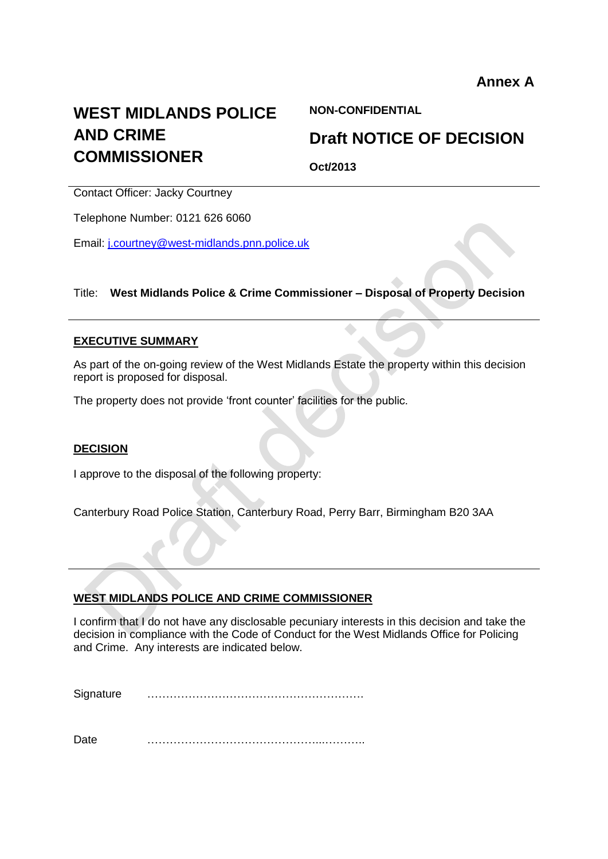# **WEST MIDLANDS POLICE AND CRIME COMMISSIONER**

**NON-CONFIDENTIAL**

## **Draft NOTICE OF DECISION**

**Oct/2013**

۸

Contact Officer: Jacky Courtney

Telephone Number: 0121 626 6060

Email: [j.courtney@west-midlands.pnn.police.uk](mailto:j.courtney@west-midlands.pnn.police.uk)

## Title: **West Midlands Police & Crime Commissioner – Disposal of Property Decision**

#### **EXECUTIVE SUMMARY**

As part of the on-going review of the West Midlands Estate the property within this decision report is proposed for disposal.

The property does not provide 'front counter' facilities for the public.

#### **DECISION**

I approve to the disposal of the following property:

Canterbury Road Police Station, Canterbury Road, Perry Barr, Birmingham B20 3AA

#### **WEST MIDLANDS POLICE AND CRIME COMMISSIONER**

I confirm that I do not have any disclosable pecuniary interests in this decision and take the decision in compliance with the Code of Conduct for the West Midlands Office for Policing and Crime. Any interests are indicated below.

Signature ………………………………………………….

Date <u>………………………………………………</u>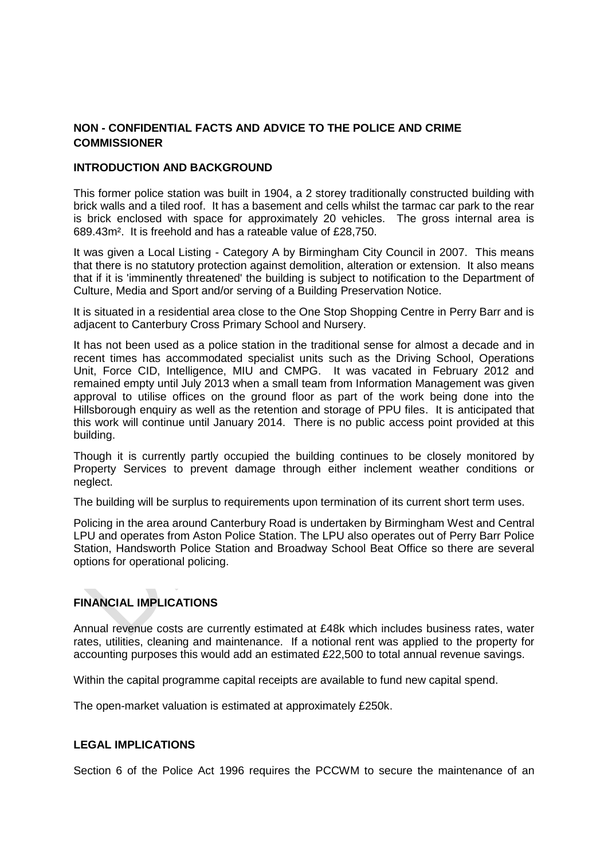## **NON - CONFIDENTIAL FACTS AND ADVICE TO THE POLICE AND CRIME COMMISSIONER**

#### **INTRODUCTION AND BACKGROUND**

This former police station was built in 1904, a 2 storey traditionally constructed building with brick walls and a tiled roof. It has a basement and cells whilst the tarmac car park to the rear is brick enclosed with space for approximately 20 vehicles. The gross internal area is 689.43m². It is freehold and has a rateable value of £28,750.

It was given a Local Listing - Category A by Birmingham City Council in 2007. This means that there is no statutory protection against demolition, alteration or extension. It also means that if it is 'imminently threatened' the building is subject to notification to the Department of Culture, Media and Sport and/or serving of a Building Preservation Notice.

It is situated in a residential area close to the One Stop Shopping Centre in Perry Barr and is adjacent to Canterbury Cross Primary School and Nursery.

It has not been used as a police station in the traditional sense for almost a decade and in recent times has accommodated specialist units such as the Driving School, Operations Unit, Force CID, Intelligence, MIU and CMPG. It was vacated in February 2012 and remained empty until July 2013 when a small team from Information Management was given approval to utilise offices on the ground floor as part of the work being done into the Hillsborough enquiry as well as the retention and storage of PPU files. It is anticipated that this work will continue until January 2014. There is no public access point provided at this building.

Though it is currently partly occupied the building continues to be closely monitored by Property Services to prevent damage through either inclement weather conditions or neglect.

The building will be surplus to requirements upon termination of its current short term uses.

Policing in the area around Canterbury Road is undertaken by Birmingham West and Central LPU and operates from Aston Police Station. The LPU also operates out of Perry Barr Police Station, Handsworth Police Station and Broadway School Beat Office so there are several options for operational policing.

## **FINANCIAL IMPLICATIONS**

Annual revenue costs are currently estimated at  $£48k$  which includes business rates, water rates, utilities, cleaning and maintenance. If a notional rent was applied to the property for accounting purposes this would add an estimated £22,500 to total annual revenue savings.

Within the capital programme capital receipts are available to fund new capital spend.

The open-market valuation is estimated at approximately £250k.

#### **LEGAL IMPLICATIONS**

Section 6 of the Police Act 1996 requires the PCCWM to secure the maintenance of an